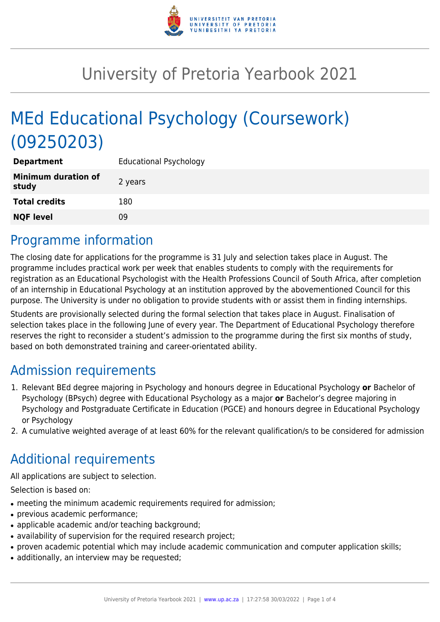

## University of Pretoria Yearbook 2021

# MEd Educational Psychology (Coursework) (09250203)

| <b>Department</b>                   | <b>Educational Psychology</b> |
|-------------------------------------|-------------------------------|
| <b>Minimum duration of</b><br>study | 2 years                       |
| <b>Total credits</b>                | 180                           |
| <b>NQF level</b>                    | 09                            |

### Programme information

The closing date for applications for the programme is 31 July and selection takes place in August. The programme includes practical work per week that enables students to comply with the requirements for registration as an Educational Psychologist with the Health Professions Council of South Africa, after completion of an internship in Educational Psychology at an institution approved by the abovementioned Council for this purpose. The University is under no obligation to provide students with or assist them in finding internships.

Students are provisionally selected during the formal selection that takes place in August. Finalisation of selection takes place in the following June of every year. The Department of Educational Psychology therefore reserves the right to reconsider a student's admission to the programme during the first six months of study, based on both demonstrated training and career-orientated ability.

### Admission requirements

- 1. Relevant BEd degree majoring in Psychology and honours degree in Educational Psychology **or** Bachelor of Psychology (BPsych) degree with Educational Psychology as a major **or** Bachelor's degree majoring in Psychology and Postgraduate Certificate in Education (PGCE) and honours degree in Educational Psychology or Psychology
- 2. A cumulative weighted average of at least 60% for the relevant qualification/s to be considered for admission

### Additional requirements

All applications are subject to selection.

Selection is based on:

- meeting the minimum academic requirements required for admission;
- previous academic performance:
- applicable academic and/or teaching background;
- availability of supervision for the required research project;
- proven academic potential which may include academic communication and computer application skills;
- additionally, an interview may be requested;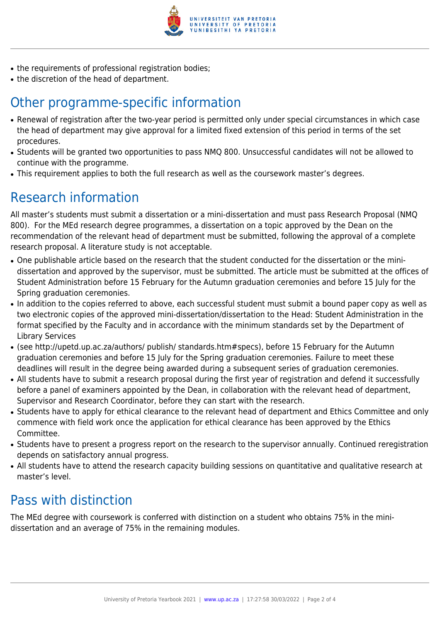

- the requirements of professional registration bodies;
- the discretion of the head of department.

### Other programme-specific information

- Renewal of registration after the two-year period is permitted only under special circumstances in which case the head of department may give approval for a limited fixed extension of this period in terms of the set procedures.
- Students will be granted two opportunities to pass NMQ 800. Unsuccessful candidates will not be allowed to continue with the programme.
- This requirement applies to both the full research as well as the coursework master's degrees.

### Research information

All master's students must submit a dissertation or a mini-dissertation and must pass Research Proposal (NMQ 800). For the MEd research degree programmes, a dissertation on a topic approved by the Dean on the recommendation of the relevant head of department must be submitted, following the approval of a complete research proposal. A literature study is not acceptable.

- One publishable article based on the research that the student conducted for the dissertation or the minidissertation and approved by the supervisor, must be submitted. The article must be submitted at the offices of Student Administration before 15 February for the Autumn graduation ceremonies and before 15 July for the Spring graduation ceremonies.
- In addition to the copies referred to above, each successful student must submit a bound paper copy as well as two electronic copies of the approved mini-dissertation/dissertation to the Head: Student Administration in the format specified by the Faculty and in accordance with the minimum standards set by the Department of Library Services
- (see http://upetd.up.ac.za/authors/ publish/ standards.htm#specs), before 15 February for the Autumn graduation ceremonies and before 15 July for the Spring graduation ceremonies. Failure to meet these deadlines will result in the degree being awarded during a subsequent series of graduation ceremonies.
- All students have to submit a research proposal during the first year of registration and defend it successfully before a panel of examiners appointed by the Dean, in collaboration with the relevant head of department, Supervisor and Research Coordinator, before they can start with the research.
- Students have to apply for ethical clearance to the relevant head of department and Ethics Committee and only commence with field work once the application for ethical clearance has been approved by the Ethics Committee.
- Students have to present a progress report on the research to the supervisor annually. Continued reregistration depends on satisfactory annual progress.
- All students have to attend the research capacity building sessions on quantitative and qualitative research at master's level.

### Pass with distinction

The MEd degree with coursework is conferred with distinction on a student who obtains 75% in the minidissertation and an average of 75% in the remaining modules.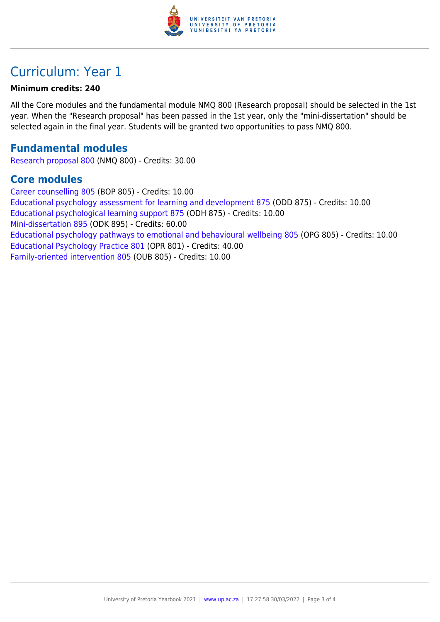

### Curriculum: Year 1

#### **Minimum credits: 240**

All the Core modules and the fundamental module NMQ 800 (Research proposal) should be selected in the 1st year. When the "Research proposal" has been passed in the 1st year, only the "mini-dissertation" should be selected again in the final year. Students will be granted two opportunities to pass NMQ 800.

#### **Fundamental modules**

[Research proposal 800](https://www.up.ac.za/yearbooks/2021/modules/view/NMQ 800) (NMQ 800) - Credits: 30.00

#### **Core modules**

[Career counselling 805](https://www.up.ac.za/yearbooks/2021/modules/view/BOP 805) (BOP 805) - Credits: 10.00 [Educational psychology assessment for learning and development 875](https://www.up.ac.za/yearbooks/2021/modules/view/ODD 875) (ODD 875) - Credits: 10.00 [Educational psychological learning support 875](https://www.up.ac.za/yearbooks/2021/modules/view/ODH 875) (ODH 875) - Credits: 10.00 [Mini-dissertation 895](https://www.up.ac.za/yearbooks/2021/modules/view/ODK 895) (ODK 895) - Credits: 60.00 [Educational psychology pathways to emotional and behavioural wellbeing 805](https://www.up.ac.za/yearbooks/2021/modules/view/OPG 805) (OPG 805) - Credits: 10.00 [Educational Psychology Practice 801](https://www.up.ac.za/yearbooks/2021/modules/view/OPR 801) (OPR 801) - Credits: 40.00 [Family-oriented intervention 805](https://www.up.ac.za/yearbooks/2021/modules/view/OUB 805) (OUB 805) - Credits: 10.00